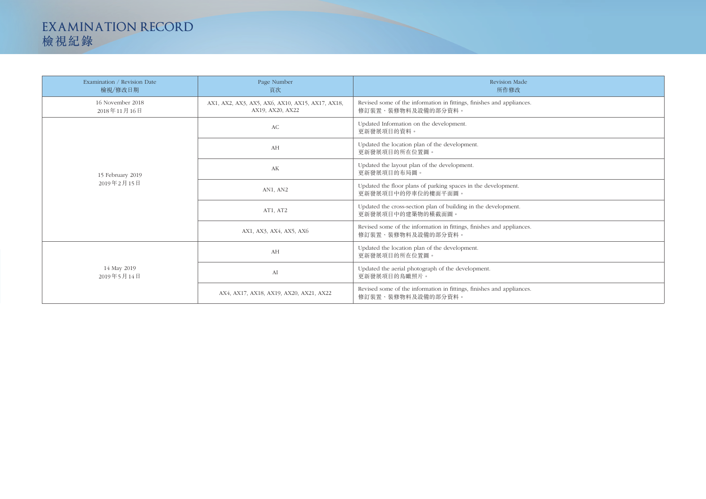| Examination / Revision Date<br>檢視/修改日期 | Page Number<br>頁次                                                    | Revision Made<br>所作修改                                                                       |
|----------------------------------------|----------------------------------------------------------------------|---------------------------------------------------------------------------------------------|
| 16 November 2018<br>2018年11月16日        | AX1, AX2, AX3, AX5, AX6, AX10, AX15, AX17, AX18,<br>AX19, AX20, AX22 | Revised some of the information in fittings, finishes and appliances.<br>修訂裝置、裝修物料及設備的部分資料。 |
| 15 February 2019<br>2019年2月15日         | AC                                                                   | Updated Information on the development.<br>更新發展項目的資料。                                       |
|                                        | AH                                                                   | Updated the location plan of the development.<br>更新發展項目的所在位置圖。                              |
|                                        | AK                                                                   | Updated the layout plan of the development.<br>更新發展項目的布局圖。                                  |
|                                        | AN1, AN2                                                             | Updated the floor plans of parking spaces in the development.<br>更新發展項目中的停車位的樓面平面圖。         |
|                                        | AT1, AT2                                                             | Updated the cross-section plan of building in the development.<br>更新發展項目中的建築物的橫截面圖。         |
|                                        | AX1, AX3, AX4, AX5, AX6                                              | Revised some of the information in fittings, finishes and appliances.<br>修訂裝置、裝修物料及設備的部分資料。 |
| 14 May 2019<br>2019年5月14日              | AH                                                                   | Updated the location plan of the development.<br>更新發展項目的所在位置圖。                              |
|                                        | AI                                                                   | Updated the aerial photograph of the development.<br>更新發展項目的鳥瞰照片。                           |
|                                        | AX4, AX17, AX18, AX19, AX20, AX21, AX22                              | Revised some of the information in fittings, finishes and appliances.<br>修訂裝置、裝修物料及設備的部分資料。 |

## **EXAMINATION RECORD** 檢視紀錄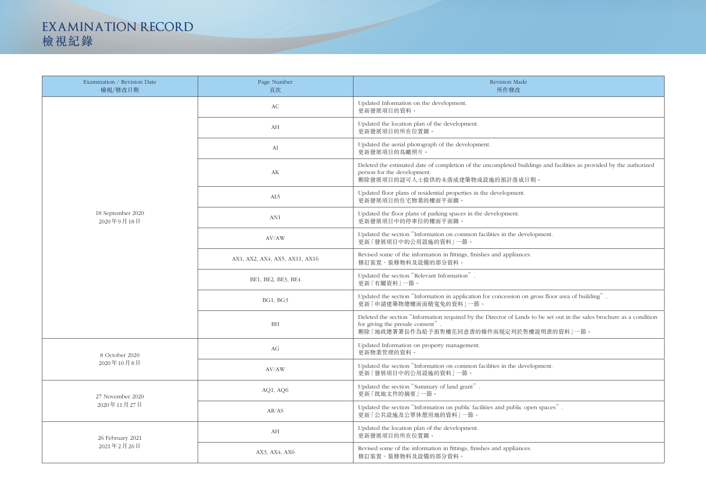| Examination / Revision Date<br>檢視/修改日期 | Page Number<br>頁次              | Revision Made<br>所作修改                                                                                                                                      |
|----------------------------------------|--------------------------------|------------------------------------------------------------------------------------------------------------------------------------------------------------|
| 18 September 2020<br>2020年9月18日        | AC                             | Updated Information on the development.<br>更新發展項目的資料。                                                                                                      |
|                                        | AH                             | Updated the location plan of the development.<br>更新發展項目的所在位置圖。                                                                                             |
|                                        | AI                             | Updated the aerial photograph of the development.<br>更新發展項目的鳥瞰照片。                                                                                          |
|                                        | AK                             | Deleted the estimated date of completion of the uncompleted buildings and fac<br>person for the development.<br>刪除發展項目的認可人士提供的未落成建築物或設施的預計落成日期。            |
|                                        | AL5                            | Updated floor plans of residential properties in the development.<br>更新發展項目的住宅物業的樓面平面圖。                                                                    |
|                                        | AN1                            | Updated the floor plans of parking spaces in the development.<br>更新發展項目中的停車位的樓面平面圖。                                                                        |
|                                        | AV/AW                          | Updated the section "Information on common facilities in the development.<br>更新「發展項目中的公用設施的資料」一節。                                                          |
|                                        | AX1, AX2, AX4, AX5, AX11, AX16 | Revised some of the information in fittings, finishes and appliances.<br>修訂裝置、裝修物料及設備的部分資料。                                                                |
|                                        | BE1, BE2, BE3, BE4             | Updated the section "Relevant Information".<br>更新「有關資料」一節。                                                                                                 |
|                                        | <b>BG1, BG3</b>                | Updated the section "Information in application for concession on gross floor a<br>更新「申請建築物總樓面面積寬免的資料」一節。                                                  |
|                                        | BH                             | Deleted the section "Information required by the Director of Lands to be set ou<br>for giving the presale consent".<br>刪除「地政總署署長作為給予預售樓花同意書的條件而規定列於售樓説明書的資 |
| 8 October 2020<br>2020年10月8日           | AG                             | Updated Information on property management.<br>更新物業管理的資料。                                                                                                  |
|                                        | AV/AW                          | Updated the section "Information on common facilities in the development.<br>更新「發展項目中的公用設施的資料」一節。                                                          |
| 27 November 2020<br>2020年11月27日        | AQ1, AQ6                       | Updated the section "Summary of land grant".<br>更新「批地文件的摘要」一節。                                                                                             |
|                                        | AR/AS                          | Updated the section "Information on public facilities and public open spaces"<br>更新「公共設施及公眾休憩用地的資料」一節。                                                     |
| 26 February 2021<br>2021年2月26日         | AH                             | Updated the location plan of the development.<br>更新發展項目的所在位置圖。                                                                                             |
|                                        | AX3, AX4, AX6                  | Revised some of the information in fittings, finishes and appliances.<br>修訂裝置、裝修物料及設備的部分資料。                                                                |

dings and facilities as provided by the authorized gross floor area of building". In the section in the sales brochure as a condition 博説明書的資料」一節。

## **EXAMINATION RECORD** 檢視紀錄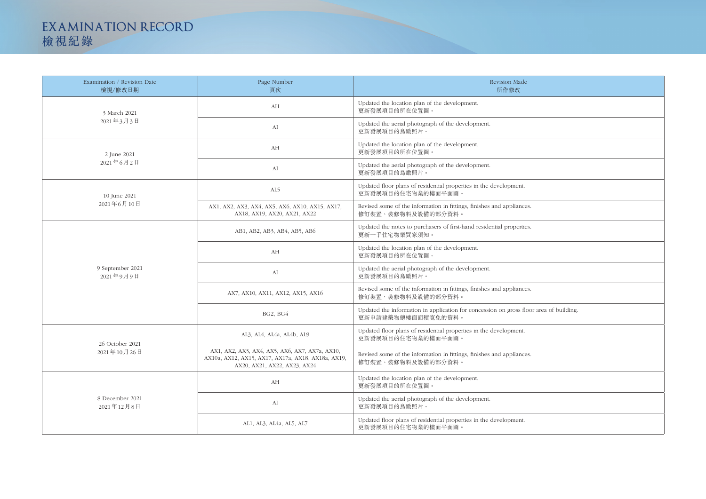| Examination / Revision Date<br>檢視/修改日期 | Page Number<br>頁次                                                                                                                    | <b>Revision Made</b><br>所作修改                                                                                |
|----------------------------------------|--------------------------------------------------------------------------------------------------------------------------------------|-------------------------------------------------------------------------------------------------------------|
| 3 March 2021<br>2021年3月3日              | AH                                                                                                                                   | Updated the location plan of the development.<br>更新發展項目的所在位置圖。                                              |
|                                        | ${\rm AI}$                                                                                                                           | Updated the aerial photograph of the development.<br>更新發展項目的鳥瞰照片。                                           |
| 2 June 2021<br>2021年6月2日               | AH                                                                                                                                   | Updated the location plan of the development.<br>更新發展項目的所在位置圖。                                              |
|                                        | ${\rm AI}$                                                                                                                           | Updated the aerial photograph of the development.<br>更新發展項目的鳥瞰照片。                                           |
| 10 June 2021<br>2021年6月10日             | AL5                                                                                                                                  | Updated floor plans of residential properties in the development.<br>更新發展項目的住宅物業的樓面平面圖。                     |
|                                        | AX1, AX2, AX3, AX4, AX5, AX6, AX10, AX15, AX17,<br>AX18, AX19, AX20, AX21, AX22                                                      | Revised some of the information in fittings, finishes and appliances.<br>修訂裝置、裝修物料及設備的部分資料。                 |
| 9 September 2021<br>2021年9月9日          | AB1, AB2, AB3, AB4, AB5, AB6                                                                                                         | Updated the notes to purchasers of first-hand residential properties.<br>更新一手住宅物業買家須知。                      |
|                                        | AH                                                                                                                                   | Updated the location plan of the development.<br>更新發展項目的所在位置圖。                                              |
|                                        | AI                                                                                                                                   | Updated the aerial photograph of the development.<br>更新發展項目的鳥瞰照片。                                           |
|                                        | AX7, AX10, AX11, AX12, AX15, AX16                                                                                                    | Revised some of the information in fittings, finishes and appliances.<br>修訂裝置、裝修物料及設備的部分資料。                 |
|                                        | BG2, BG4                                                                                                                             | Updated the information in application for concession on gross floor area of building<br>更新申請建築物總樓面面積寬免的資料。 |
| 26 October 2021<br>2021年10月26日         | AL3, AL4, AL4a, AL4b, AL9                                                                                                            | Updated floor plans of residential properties in the development.<br>更新發展項目的住宅物業的樓面平面圖。                     |
|                                        | AX1, AX2, AX3, AX4, AX5, AX6, AX7, AX7a, AX10,<br>AX10a, AX12, AX15, AX17, AX17a, AX18, AX18a, AX19,<br>AX20, AX21, AX22, AX23, AX24 | Revised some of the information in fittings, finishes and appliances.<br>修訂裝置、裝修物料及設備的部分資料。                 |
| 8 December 2021<br>2021年12月8日          | AH                                                                                                                                   | Updated the location plan of the development.<br>更新發展項目的所在位置圖。                                              |
|                                        | ${\rm AI}$                                                                                                                           | Updated the aerial photograph of the development.<br>更新發展項目的鳥瞰照片。                                           |
|                                        | AL1, AL3, AL4a, AL5, AL7                                                                                                             | Updated floor plans of residential properties in the development.<br>更新發展項目的住宅物業的樓面平面圖。                     |

| $\mathbf{s}$ .        |
|-----------------------|
| $\mathbf{s}$ .        |
|                       |
|                       |
| $\mathbf{s}$ .        |
| bor area of building. |
|                       |
| $\mathbf{s}$ .        |
|                       |
|                       |
|                       |
|                       |

## **EXAMINATION RECORD** 檢視紀錄